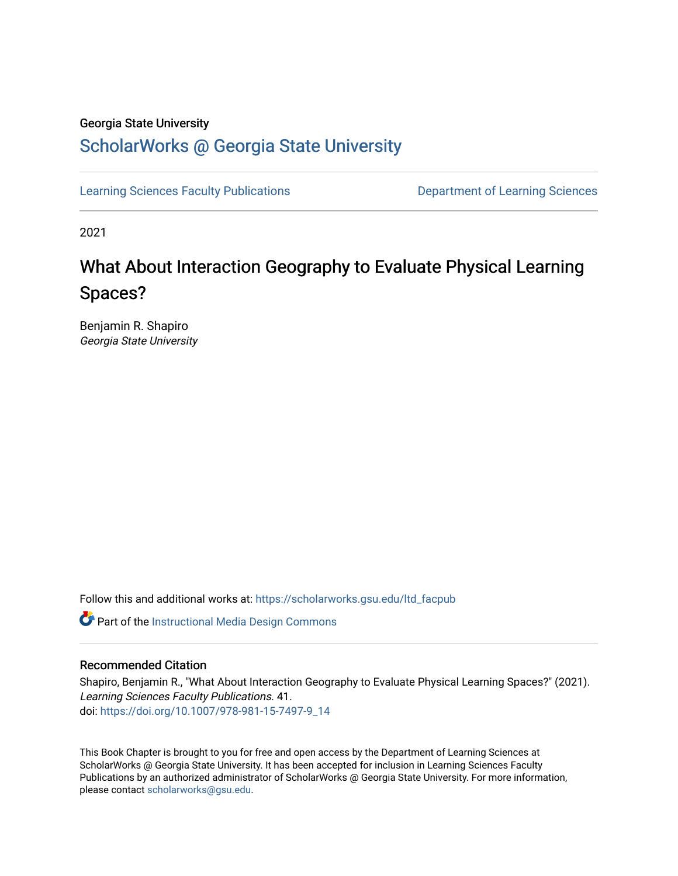# Georgia State University

# [ScholarWorks @ Georgia State University](https://scholarworks.gsu.edu/)

[Learning Sciences Faculty Publications](https://scholarworks.gsu.edu/ltd_facpub) **Department of Learning Sciences** 

2021

# What About Interaction Geography to Evaluate Physical Learning Spaces?

Benjamin R. Shapiro Georgia State University

Follow this and additional works at: [https://scholarworks.gsu.edu/ltd\\_facpub](https://scholarworks.gsu.edu/ltd_facpub?utm_source=scholarworks.gsu.edu%2Fltd_facpub%2F41&utm_medium=PDF&utm_campaign=PDFCoverPages) 

Part of the [Instructional Media Design Commons](https://network.bepress.com/hgg/discipline/795?utm_source=scholarworks.gsu.edu%2Fltd_facpub%2F41&utm_medium=PDF&utm_campaign=PDFCoverPages)

# Recommended Citation

Shapiro, Benjamin R., "What About Interaction Geography to Evaluate Physical Learning Spaces?" (2021). Learning Sciences Faculty Publications. 41. doi: [https://doi.org/10.1007/978-981-15-7497-9\\_14](https://doi.org/10.1007/978-981-15-7497-9_14)

This Book Chapter is brought to you for free and open access by the Department of Learning Sciences at ScholarWorks @ Georgia State University. It has been accepted for inclusion in Learning Sciences Faculty Publications by an authorized administrator of ScholarWorks @ Georgia State University. For more information, please contact [scholarworks@gsu.edu.](mailto:scholarworks@gsu.edu)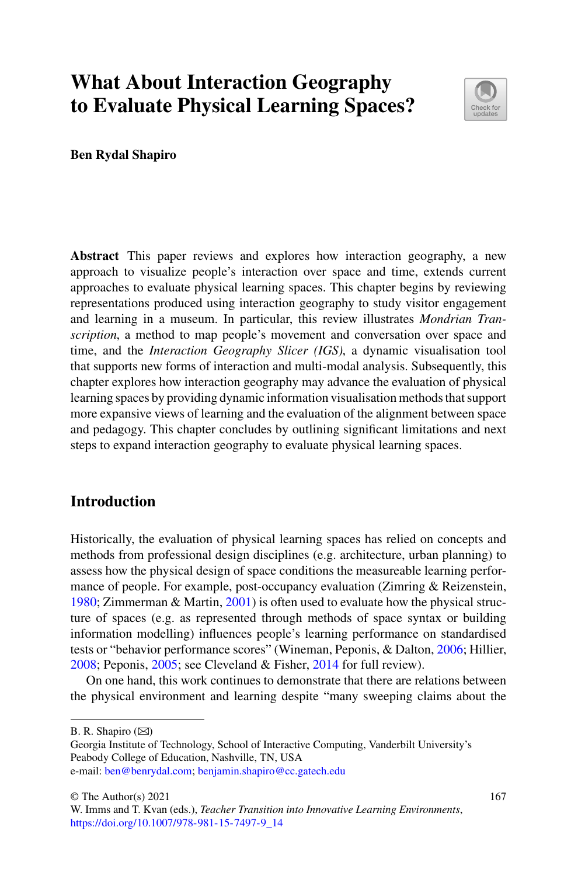# **What About Interaction Geography to Evaluate Physical Learning Spaces?**



**Ben Rydal Shapiro**

**Abstract** This paper reviews and explores how interaction geography, a new approach to visualize people's interaction over space and time, extends current approaches to evaluate physical learning spaces. This chapter begins by reviewing representations produced using interaction geography to study visitor engagement and learning in a museum. In particular, this review illustrates *Mondrian Transcription*, a method to map people's movement and conversation over space and time, and the *Interaction Geography Slicer (IGS)*, a dynamic visualisation tool that supports new forms of interaction and multi-modal analysis. Subsequently, this chapter explores how interaction geography may advance the evaluation of physical learning spaces by providing dynamic information visualisation methods that support more expansive views of learning and the evaluation of the alignment between space and pedagogy. This chapter concludes by outlining significant limitations and next steps to expand interaction geography to evaluate physical learning spaces.

## **Introduction**

Historically, the evaluation of physical learning spaces has relied on concepts and methods from professional design disciplines (e.g. architecture, urban planning) to assess how the physical design of space conditions the measureable learning performance of people. For example, post-occupancy evaluation (Zimring & Reizenstein, [1980;](#page-12-0) Zimmerman & Martin, [2001\)](#page-12-1) is often used to evaluate how the physical structure of spaces (e.g. as represented through methods of space syntax or building information modelling) influences people's learning performance on standardised tests or "behavior performance scores" (Wineman, Peponis, & Dalton, [2006;](#page-12-2) Hillier, [2008;](#page-11-0) Peponis, [2005;](#page-12-3) see Cleveland & Fisher, [2014](#page-11-1) for full review).

On one hand, this work continues to demonstrate that there are relations between the physical environment and learning despite "many sweeping claims about the

B. R. Shapiro  $(\boxtimes)$ 

Georgia Institute of Technology, School of Interactive Computing, Vanderbilt University's Peabody College of Education, Nashville, TN, USA e-mail: [ben@benrydal.com;](mailto:ben@benrydal.com) [benjamin.shapiro@cc.gatech.edu](mailto:benjamin.shapiro@cc.gatech.edu)

<sup>©</sup> The Author(s) 2021

W. Imms and T. Kvan (eds.), *Teacher Transition into Innovative Learning Environments*, [https://doi.org/10.1007/978-981-15-7497-9\\_14](https://doi.org/10.1007/978-981-15-7497-9_14)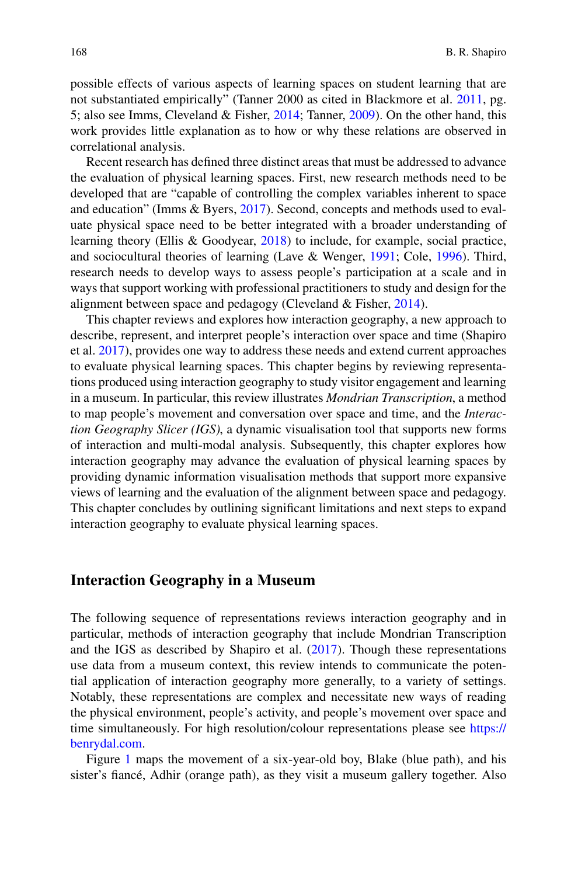possible effects of various aspects of learning spaces on student learning that are not substantiated empirically" (Tanner 2000 as cited in Blackmore et al. [2011,](#page-11-2) pg. 5; also see Imms, Cleveland & Fisher, [2014;](#page-11-1) Tanner, [2009\)](#page-12-4). On the other hand, this work provides little explanation as to how or why these relations are observed in correlational analysis.

Recent research has defined three distinct areas that must be addressed to advance the evaluation of physical learning spaces. First, new research methods need to be developed that are "capable of controlling the complex variables inherent to space and education" (Imms & Byers, [2017\)](#page-12-5). Second, concepts and methods used to evaluate physical space need to be better integrated with a broader understanding of learning theory (Ellis & Goodyear, [2018\)](#page-11-3) to include, for example, social practice, and sociocultural theories of learning (Lave & Wenger, [1991;](#page-12-6) Cole, [1996\)](#page-11-4). Third, research needs to develop ways to assess people's participation at a scale and in ways that support working with professional practitioners to study and design for the alignment between space and pedagogy (Cleveland & Fisher, [2014\)](#page-11-1).

This chapter reviews and explores how interaction geography, a new approach to describe, represent, and interpret people's interaction over space and time (Shapiro et al. [2017\)](#page-12-7), provides one way to address these needs and extend current approaches to evaluate physical learning spaces. This chapter begins by reviewing representations produced using interaction geography to study visitor engagement and learning in a museum. In particular, this review illustrates *Mondrian Transcription*, a method to map people's movement and conversation over space and time, and the *Interaction Geography Slicer (IGS)*, a dynamic visualisation tool that supports new forms of interaction and multi-modal analysis. Subsequently, this chapter explores how interaction geography may advance the evaluation of physical learning spaces by providing dynamic information visualisation methods that support more expansive views of learning and the evaluation of the alignment between space and pedagogy. This chapter concludes by outlining significant limitations and next steps to expand interaction geography to evaluate physical learning spaces.

### **Interaction Geography in a Museum**

The following sequence of representations reviews interaction geography and in particular, methods of interaction geography that include Mondrian Transcription and the IGS as described by Shapiro et al. [\(2017\)](#page-12-7). Though these representations use data from a museum context, this review intends to communicate the potential application of interaction geography more generally, to a variety of settings. Notably, these representations are complex and necessitate new ways of reading the physical environment, people's activity, and people's movement over space and [time simultaneously. For high resolution/colour representations please see](https://benrydal.com) https:// benrydal.com.

Figure [1](#page-3-0) maps the movement of a six-year-old boy, Blake (blue path), and his sister's fiancé, Adhir (orange path), as they visit a museum gallery together. Also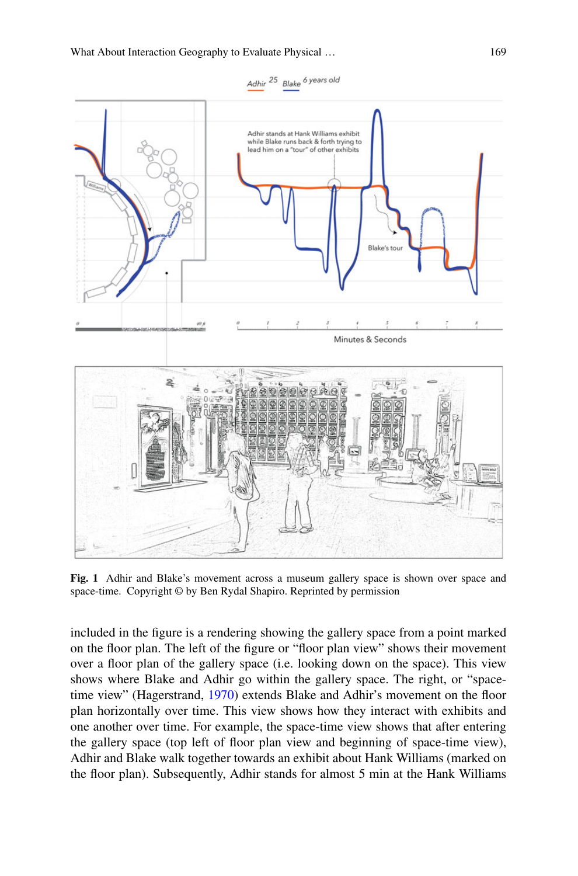

<span id="page-3-0"></span>**Fig. 1** Adhir and Blake's movement across a museum gallery space is shown over space and space-time. Copyright © by Ben Rydal Shapiro. Reprinted by permission

included in the figure is a rendering showing the gallery space from a point marked on the floor plan. The left of the figure or "floor plan view" shows their movement over a floor plan of the gallery space (i.e. looking down on the space). This view shows where Blake and Adhir go within the gallery space. The right, or "spacetime view" (Hagerstrand, [1970\)](#page-11-5) extends Blake and Adhir's movement on the floor plan horizontally over time. This view shows how they interact with exhibits and one another over time. For example, the space-time view shows that after entering the gallery space (top left of floor plan view and beginning of space-time view), Adhir and Blake walk together towards an exhibit about Hank Williams (marked on the floor plan). Subsequently, Adhir stands for almost 5 min at the Hank Williams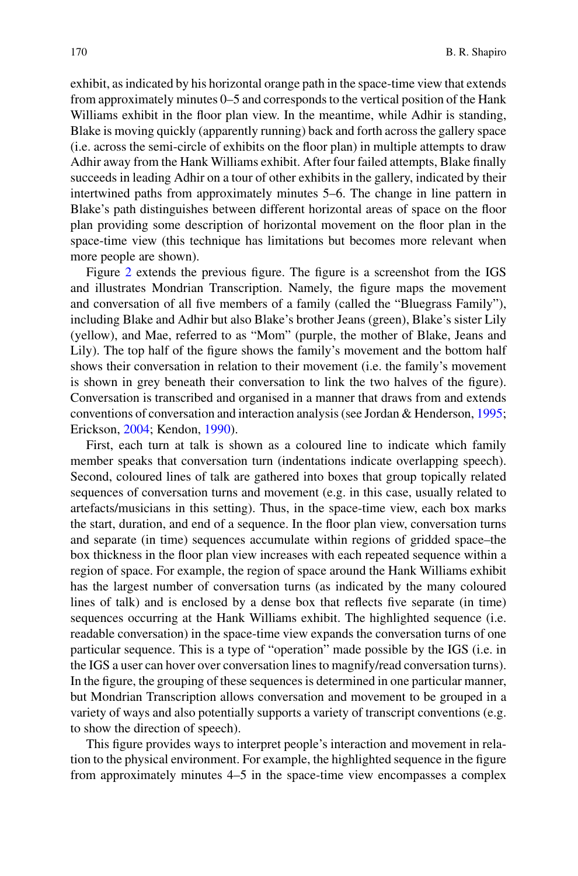exhibit, as indicated by his horizontal orange path in the space-time view that extends from approximately minutes 0–5 and corresponds to the vertical position of the Hank Williams exhibit in the floor plan view. In the meantime, while Adhir is standing, Blake is moving quickly (apparently running) back and forth across the gallery space (i.e. across the semi-circle of exhibits on the floor plan) in multiple attempts to draw Adhir away from the Hank Williams exhibit. After four failed attempts, Blake finally succeeds in leading Adhir on a tour of other exhibits in the gallery, indicated by their intertwined paths from approximately minutes 5–6. The change in line pattern in Blake's path distinguishes between different horizontal areas of space on the floor plan providing some description of horizontal movement on the floor plan in the space-time view (this technique has limitations but becomes more relevant when more people are shown).

Figure [2](#page-5-0) extends the previous figure. The figure is a screenshot from the IGS and illustrates Mondrian Transcription. Namely, the figure maps the movement and conversation of all five members of a family (called the "Bluegrass Family"), including Blake and Adhir but also Blake's brother Jeans (green), Blake's sister Lily (yellow), and Mae, referred to as "Mom" (purple, the mother of Blake, Jeans and Lily). The top half of the figure shows the family's movement and the bottom half shows their conversation in relation to their movement (i.e. the family's movement is shown in grey beneath their conversation to link the two halves of the figure). Conversation is transcribed and organised in a manner that draws from and extends conventions of conversation and interaction analysis (see Jordan & Henderson, [1995;](#page-12-8) Erickson, [2004;](#page-11-6) Kendon, [1990\)](#page-12-9).

First, each turn at talk is shown as a coloured line to indicate which family member speaks that conversation turn (indentations indicate overlapping speech). Second, coloured lines of talk are gathered into boxes that group topically related sequences of conversation turns and movement (e.g. in this case, usually related to artefacts/musicians in this setting). Thus, in the space-time view, each box marks the start, duration, and end of a sequence. In the floor plan view, conversation turns and separate (in time) sequences accumulate within regions of gridded space–the box thickness in the floor plan view increases with each repeated sequence within a region of space. For example, the region of space around the Hank Williams exhibit has the largest number of conversation turns (as indicated by the many coloured lines of talk) and is enclosed by a dense box that reflects five separate (in time) sequences occurring at the Hank Williams exhibit. The highlighted sequence (i.e. readable conversation) in the space-time view expands the conversation turns of one particular sequence. This is a type of "operation" made possible by the IGS (i.e. in the IGS a user can hover over conversation lines to magnify/read conversation turns). In the figure, the grouping of these sequences is determined in one particular manner, but Mondrian Transcription allows conversation and movement to be grouped in a variety of ways and also potentially supports a variety of transcript conventions (e.g. to show the direction of speech).

This figure provides ways to interpret people's interaction and movement in relation to the physical environment. For example, the highlighted sequence in the figure from approximately minutes 4–5 in the space-time view encompasses a complex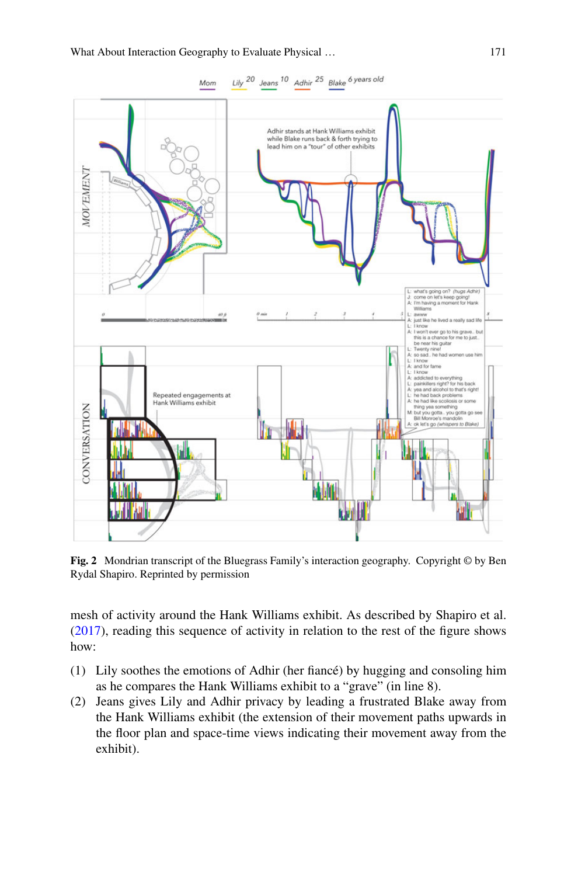

<span id="page-5-0"></span>**Fig. 2** Mondrian transcript of the Bluegrass Family's interaction geography. Copyright © by Ben Rydal Shapiro. Reprinted by permission

mesh of activity around the Hank Williams exhibit. As described by Shapiro et al. [\(2017\)](#page-12-7), reading this sequence of activity in relation to the rest of the figure shows how:

- (1) Lily soothes the emotions of Adhir (her fiancé) by hugging and consoling him as he compares the Hank Williams exhibit to a "grave" (in line 8).
- (2) Jeans gives Lily and Adhir privacy by leading a frustrated Blake away from the Hank Williams exhibit (the extension of their movement paths upwards in the floor plan and space-time views indicating their movement away from the exhibit).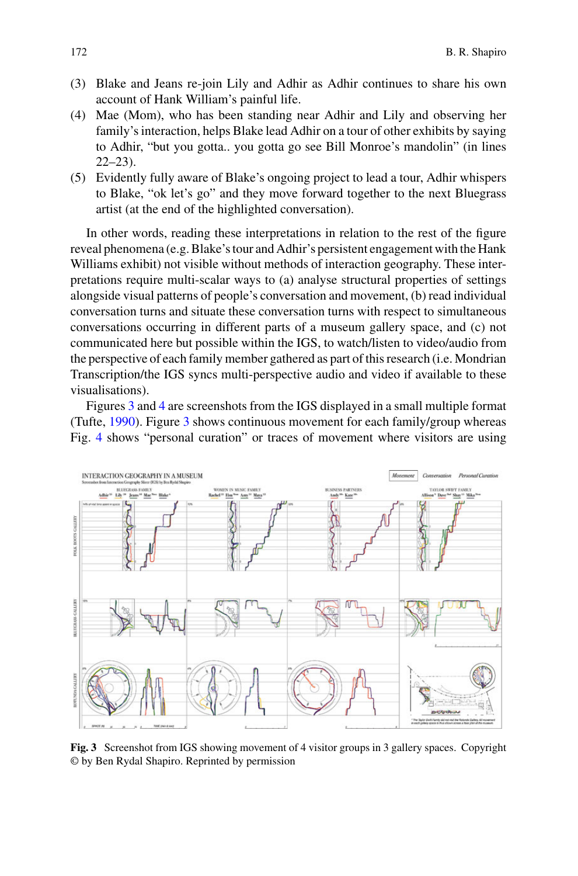- (3) Blake and Jeans re-join Lily and Adhir as Adhir continues to share his own account of Hank William's painful life.
- (4) Mae (Mom), who has been standing near Adhir and Lily and observing her family's interaction, helps Blake lead Adhir on a tour of other exhibits by saying to Adhir, "but you gotta.. you gotta go see Bill Monroe's mandolin" (in lines  $22 - 23$ ).
- (5) Evidently fully aware of Blake's ongoing project to lead a tour, Adhir whispers to Blake, "ok let's go" and they move forward together to the next Bluegrass artist (at the end of the highlighted conversation).

In other words, reading these interpretations in relation to the rest of the figure reveal phenomena (e.g. Blake's tour and Adhir's persistent engagement with the Hank Williams exhibit) not visible without methods of interaction geography. These interpretations require multi-scalar ways to (a) analyse structural properties of settings alongside visual patterns of people's conversation and movement, (b) read individual conversation turns and situate these conversation turns with respect to simultaneous conversations occurring in different parts of a museum gallery space, and (c) not communicated here but possible within the IGS, to watch/listen to video/audio from the perspective of each family member gathered as part of this research (i.e. Mondrian Transcription/the IGS syncs multi-perspective audio and video if available to these visualisations).

Figures [3](#page-6-0) and [4](#page-7-0) are screenshots from the IGS displayed in a small multiple format (Tufte, [1990\)](#page-12-10). Figure [3](#page-6-0) shows continuous movement for each family/group whereas Fig. [4](#page-7-0) shows "personal curation" or traces of movement where visitors are using



<span id="page-6-0"></span>**Fig. 3** Screenshot from IGS showing movement of 4 visitor groups in 3 gallery spaces. Copyright © by Ben Rydal Shapiro. Reprinted by permission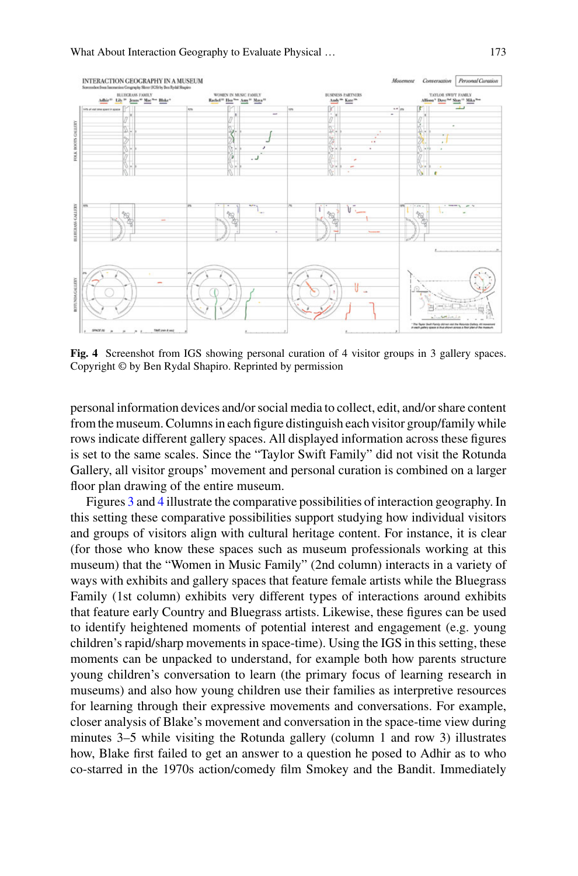

<span id="page-7-0"></span>**Fig. 4** Screenshot from IGS showing personal curation of 4 visitor groups in 3 gallery spaces. Copyright © by Ben Rydal Shapiro. Reprinted by permission

personal information devices and/or social media to collect, edit, and/or share content from the museum. Columns in each figure distinguish each visitor group/family while rows indicate different gallery spaces. All displayed information across these figures is set to the same scales. Since the "Taylor Swift Family" did not visit the Rotunda Gallery, all visitor groups' movement and personal curation is combined on a larger floor plan drawing of the entire museum.

Figures [3](#page-6-0) and [4](#page-7-0) illustrate the comparative possibilities of interaction geography. In this setting these comparative possibilities support studying how individual visitors and groups of visitors align with cultural heritage content. For instance, it is clear (for those who know these spaces such as museum professionals working at this museum) that the "Women in Music Family" (2nd column) interacts in a variety of ways with exhibits and gallery spaces that feature female artists while the Bluegrass Family (1st column) exhibits very different types of interactions around exhibits that feature early Country and Bluegrass artists. Likewise, these figures can be used to identify heightened moments of potential interest and engagement (e.g. young children's rapid/sharp movements in space-time). Using the IGS in this setting, these moments can be unpacked to understand, for example both how parents structure young children's conversation to learn (the primary focus of learning research in museums) and also how young children use their families as interpretive resources for learning through their expressive movements and conversations. For example, closer analysis of Blake's movement and conversation in the space-time view during minutes 3–5 while visiting the Rotunda gallery (column 1 and row 3) illustrates how, Blake first failed to get an answer to a question he posed to Adhir as to who co-starred in the 1970s action/comedy film Smokey and the Bandit. Immediately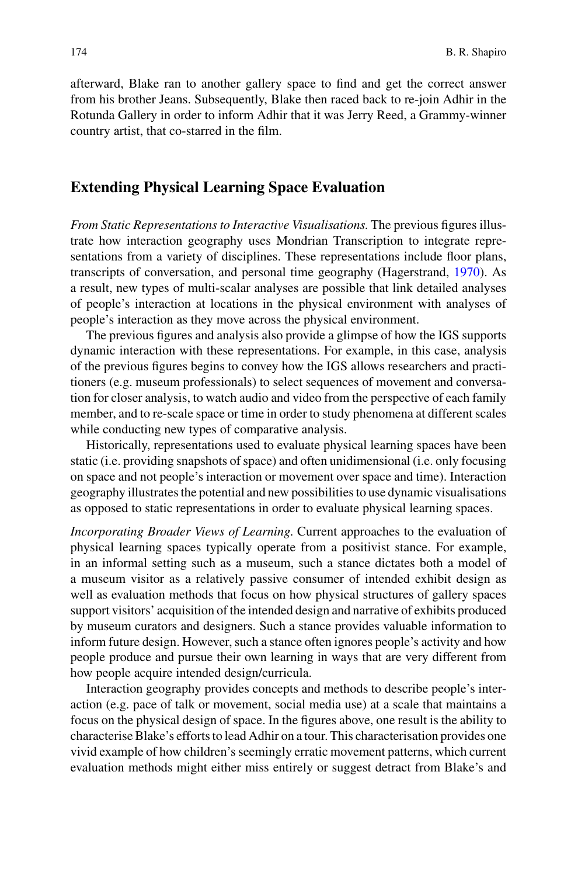afterward, Blake ran to another gallery space to find and get the correct answer from his brother Jeans. Subsequently, Blake then raced back to re-join Adhir in the Rotunda Gallery in order to inform Adhir that it was Jerry Reed, a Grammy-winner country artist, that co-starred in the film.

### **Extending Physical Learning Space Evaluation**

*From Static Representations to Interactive Visualisations*. The previous figures illustrate how interaction geography uses Mondrian Transcription to integrate representations from a variety of disciplines. These representations include floor plans, transcripts of conversation, and personal time geography (Hagerstrand, [1970\)](#page-11-5). As a result, new types of multi-scalar analyses are possible that link detailed analyses of people's interaction at locations in the physical environment with analyses of people's interaction as they move across the physical environment.

The previous figures and analysis also provide a glimpse of how the IGS supports dynamic interaction with these representations. For example, in this case, analysis of the previous figures begins to convey how the IGS allows researchers and practitioners (e.g. museum professionals) to select sequences of movement and conversation for closer analysis, to watch audio and video from the perspective of each family member, and to re-scale space or time in order to study phenomena at different scales while conducting new types of comparative analysis.

Historically, representations used to evaluate physical learning spaces have been static (i.e. providing snapshots of space) and often unidimensional (i.e. only focusing on space and not people's interaction or movement over space and time). Interaction geography illustrates the potential and new possibilities to use dynamic visualisations as opposed to static representations in order to evaluate physical learning spaces.

*Incorporating Broader Views of Learning*. Current approaches to the evaluation of physical learning spaces typically operate from a positivist stance. For example, in an informal setting such as a museum, such a stance dictates both a model of a museum visitor as a relatively passive consumer of intended exhibit design as well as evaluation methods that focus on how physical structures of gallery spaces support visitors' acquisition of the intended design and narrative of exhibits produced by museum curators and designers. Such a stance provides valuable information to inform future design. However, such a stance often ignores people's activity and how people produce and pursue their own learning in ways that are very different from how people acquire intended design/curricula.

Interaction geography provides concepts and methods to describe people's interaction (e.g. pace of talk or movement, social media use) at a scale that maintains a focus on the physical design of space. In the figures above, one result is the ability to characterise Blake's efforts to lead Adhir on a tour. This characterisation provides one vivid example of how children's seemingly erratic movement patterns, which current evaluation methods might either miss entirely or suggest detract from Blake's and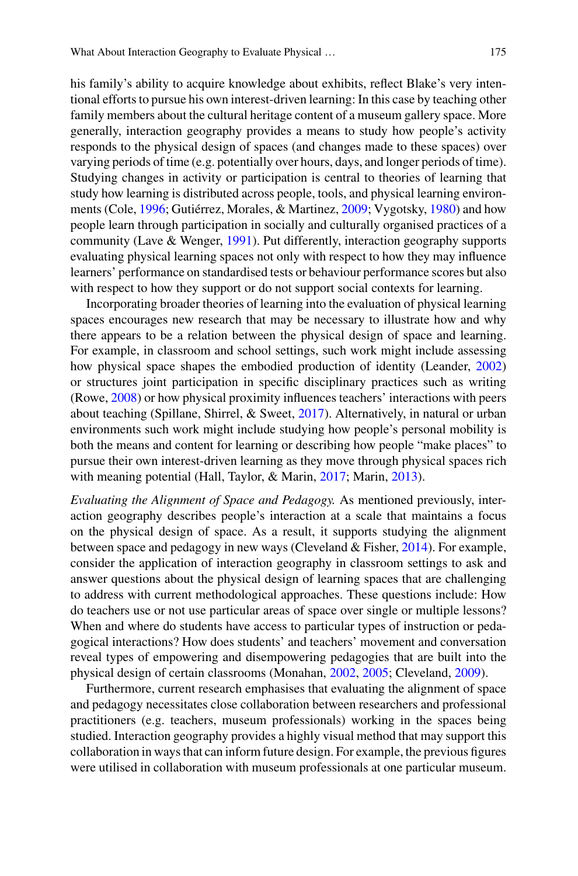his family's ability to acquire knowledge about exhibits, reflect Blake's very intentional efforts to pursue his own interest-driven learning: In this case by teaching other family members about the cultural heritage content of a museum gallery space. More generally, interaction geography provides a means to study how people's activity responds to the physical design of spaces (and changes made to these spaces) over varying periods of time (e.g. potentially over hours, days, and longer periods of time). Studying changes in activity or participation is central to theories of learning that study how learning is distributed across people, tools, and physical learning environments (Cole, [1996;](#page-11-4) Gutiérrez, Morales, & Martinez, [2009;](#page-11-7) Vygotsky, [1980\)](#page-12-11) and how people learn through participation in socially and culturally organised practices of a community (Lave & Wenger, [1991\)](#page-12-6). Put differently, interaction geography supports evaluating physical learning spaces not only with respect to how they may influence learners' performance on standardised tests or behaviour performance scores but also with respect to how they support or do not support social contexts for learning.

Incorporating broader theories of learning into the evaluation of physical learning spaces encourages new research that may be necessary to illustrate how and why there appears to be a relation between the physical design of space and learning. For example, in classroom and school settings, such work might include assessing how physical space shapes the embodied production of identity (Leander, [2002\)](#page-12-12) or structures joint participation in specific disciplinary practices such as writing (Rowe, [2008\)](#page-12-13) or how physical proximity influences teachers' interactions with peers about teaching (Spillane, Shirrel, & Sweet, [2017\)](#page-12-14). Alternatively, in natural or urban environments such work might include studying how people's personal mobility is both the means and content for learning or describing how people "make places" to pursue their own interest-driven learning as they move through physical spaces rich with meaning potential (Hall, Taylor, & Marin, [2017;](#page-11-8) Marin, [2013\)](#page-12-15).

*Evaluating the Alignment of Space and Pedagogy.* As mentioned previously, interaction geography describes people's interaction at a scale that maintains a focus on the physical design of space. As a result, it supports studying the alignment between space and pedagogy in new ways (Cleveland & Fisher, [2014\)](#page-11-1). For example, consider the application of interaction geography in classroom settings to ask and answer questions about the physical design of learning spaces that are challenging to address with current methodological approaches. These questions include: How do teachers use or not use particular areas of space over single or multiple lessons? When and where do students have access to particular types of instruction or pedagogical interactions? How does students' and teachers' movement and conversation reveal types of empowering and disempowering pedagogies that are built into the physical design of certain classrooms (Monahan, [2002,](#page-12-16) [2005;](#page-12-17) Cleveland, [2009\)](#page-11-9).

Furthermore, current research emphasises that evaluating the alignment of space and pedagogy necessitates close collaboration between researchers and professional practitioners (e.g. teachers, museum professionals) working in the spaces being studied. Interaction geography provides a highly visual method that may support this collaboration in ways that can inform future design. For example, the previous figures were utilised in collaboration with museum professionals at one particular museum.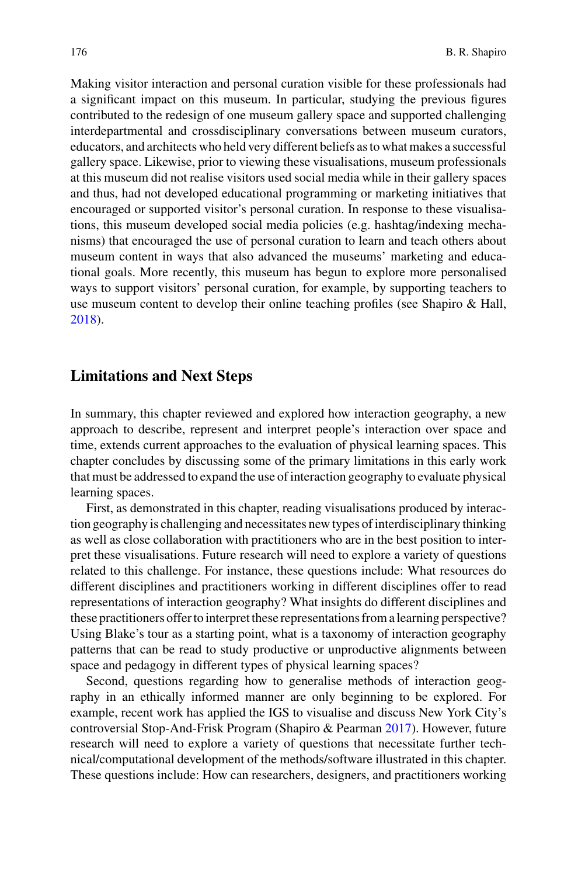Making visitor interaction and personal curation visible for these professionals had a significant impact on this museum. In particular, studying the previous figures contributed to the redesign of one museum gallery space and supported challenging interdepartmental and crossdisciplinary conversations between museum curators, educators, and architects who held very different beliefs as to what makes a successful gallery space. Likewise, prior to viewing these visualisations, museum professionals at this museum did not realise visitors used social media while in their gallery spaces and thus, had not developed educational programming or marketing initiatives that encouraged or supported visitor's personal curation. In response to these visualisations, this museum developed social media policies (e.g. hashtag/indexing mechanisms) that encouraged the use of personal curation to learn and teach others about museum content in ways that also advanced the museums' marketing and educational goals. More recently, this museum has begun to explore more personalised ways to support visitors' personal curation, for example, by supporting teachers to use museum content to develop their online teaching profiles (see Shapiro & Hall, [2018\)](#page-12-18).

#### **Limitations and Next Steps**

In summary, this chapter reviewed and explored how interaction geography, a new approach to describe, represent and interpret people's interaction over space and time, extends current approaches to the evaluation of physical learning spaces. This chapter concludes by discussing some of the primary limitations in this early work that must be addressed to expand the use of interaction geography to evaluate physical learning spaces.

First, as demonstrated in this chapter, reading visualisations produced by interaction geography is challenging and necessitates new types of interdisciplinary thinking as well as close collaboration with practitioners who are in the best position to interpret these visualisations. Future research will need to explore a variety of questions related to this challenge. For instance, these questions include: What resources do different disciplines and practitioners working in different disciplines offer to read representations of interaction geography? What insights do different disciplines and these practitioners offer to interpret these representations from a learning perspective? Using Blake's tour as a starting point, what is a taxonomy of interaction geography patterns that can be read to study productive or unproductive alignments between space and pedagogy in different types of physical learning spaces?

Second, questions regarding how to generalise methods of interaction geography in an ethically informed manner are only beginning to be explored. For example, recent work has applied the IGS to visualise and discuss New York City's controversial Stop-And-Frisk Program (Shapiro & Pearman [2017\)](#page-12-7). However, future research will need to explore a variety of questions that necessitate further technical/computational development of the methods/software illustrated in this chapter. These questions include: How can researchers, designers, and practitioners working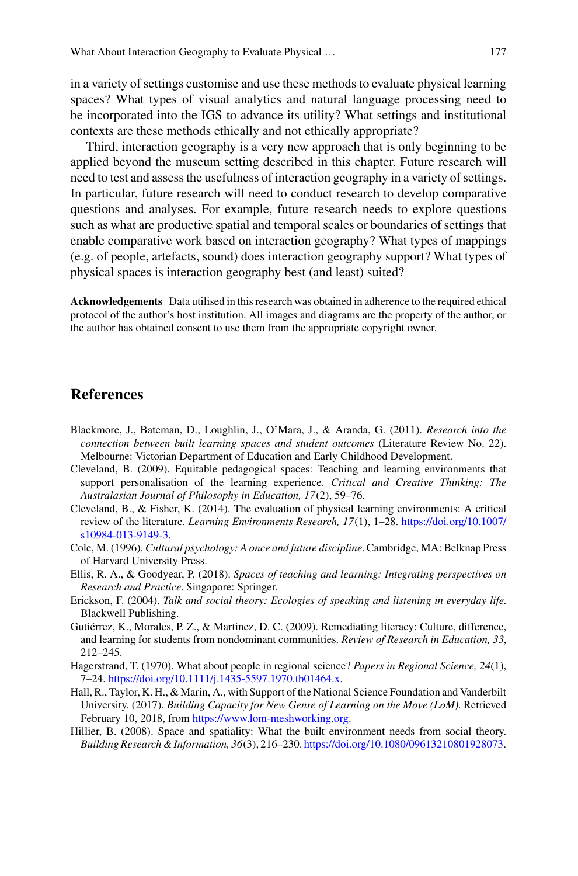in a variety of settings customise and use these methods to evaluate physical learning spaces? What types of visual analytics and natural language processing need to be incorporated into the IGS to advance its utility? What settings and institutional contexts are these methods ethically and not ethically appropriate?

Third, interaction geography is a very new approach that is only beginning to be applied beyond the museum setting described in this chapter. Future research will need to test and assess the usefulness of interaction geography in a variety of settings. In particular, future research will need to conduct research to develop comparative questions and analyses. For example, future research needs to explore questions such as what are productive spatial and temporal scales or boundaries of settings that enable comparative work based on interaction geography? What types of mappings (e.g. of people, artefacts, sound) does interaction geography support? What types of physical spaces is interaction geography best (and least) suited?

**Acknowledgements** Data utilised in this research was obtained in adherence to the required ethical protocol of the author's host institution. All images and diagrams are the property of the author, or the author has obtained consent to use them from the appropriate copyright owner.

### **References**

- <span id="page-11-2"></span>Blackmore, J., Bateman, D., Loughlin, J., O'Mara, J., & Aranda, G. (2011). *Research into the connection between built learning spaces and student outcomes* (Literature Review No. 22). Melbourne: Victorian Department of Education and Early Childhood Development.
- <span id="page-11-9"></span>Cleveland, B. (2009). Equitable pedagogical spaces: Teaching and learning environments that support personalisation of the learning experience. *Critical and Creative Thinking: The Australasian Journal of Philosophy in Education, 17*(2), 59–76.
- <span id="page-11-1"></span>Cleveland, B., & Fisher, K. (2014). The evaluation of physical learning environments: A critical review of the literature. *[Learning Environments Research, 17](https://doi.org/10.1007/s10984-013-9149-3)*(1), 1–28. https://doi.org/10.1007/ s10984-013-9149-3.
- <span id="page-11-4"></span>Cole, M. (1996). *Cultural psychology: A once and future discipline*. Cambridge, MA: Belknap Press of Harvard University Press.
- <span id="page-11-3"></span>Ellis, R. A., & Goodyear, P. (2018). *Spaces of teaching and learning: Integrating perspectives on Research and Practice*. Singapore: Springer.
- <span id="page-11-6"></span>Erickson, F. (2004). *Talk and social theory: Ecologies of speaking and listening in everyday life*. Blackwell Publishing.
- <span id="page-11-7"></span>Gutiérrez, K., Morales, P. Z., & Martinez, D. C. (2009). Remediating literacy: Culture, difference, and learning for students from nondominant communities. *Review of Research in Education, 33*, 212–245.
- <span id="page-11-5"></span>Hagerstrand, T. (1970). What about people in regional science? *Papers in Regional Science, 24*(1), 7–24. [https://doi.org/10.1111/j.1435-5597.1970.tb01464.x.](https://doi.org/10.1111/j.1435-5597.1970.tb01464.x)
- <span id="page-11-8"></span>Hall, R., Taylor, K. H., & Marin, A., with Support of the National Science Foundation and Vanderbilt University. (2017). *Building Capacity for New Genre of Learning on the Move (LoM)*. Retrieved February 10, 2018, from [https://www.lom-meshworking.org.](https://www.lom-meshworking.org)
- <span id="page-11-0"></span>Hillier, B. (2008). Space and spatiality: What the built environment needs from social theory. *Building Research & Information, 36*(3), 216–230. [https://doi.org/10.1080/09613210801928073.](https://doi.org/10.1080/09613210801928073)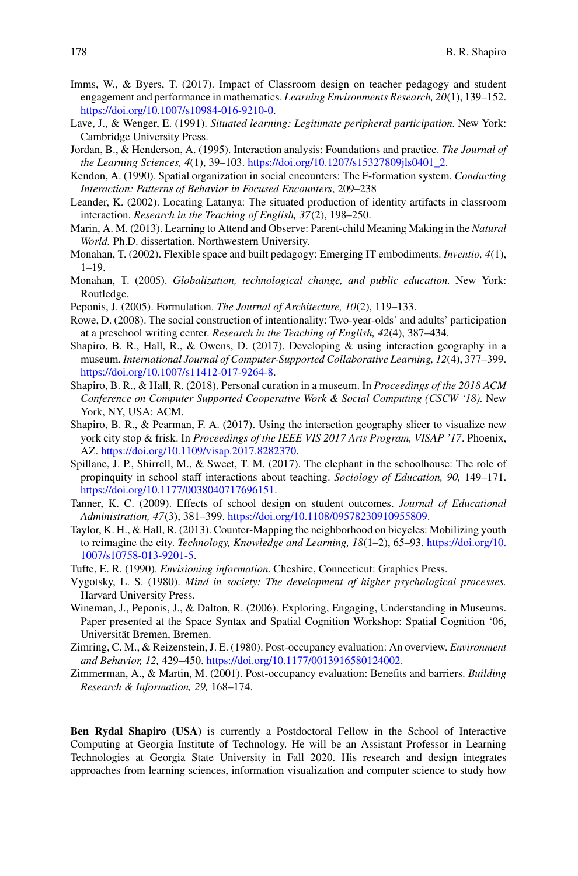- <span id="page-12-5"></span>Imms, W., & Byers, T. (2017). Impact of Classroom design on teacher pedagogy and student engagement and performance in mathematics. *Learning Environments Research, 20*(1), 139–152. [https://doi.org/10.1007/s10984-016-9210-0.](https://doi.org/10.1007/s10984-016-9210-0)
- <span id="page-12-6"></span>Lave, J., & Wenger, E. (1991). *Situated learning: Legitimate peripheral participation*. New York: Cambridge University Press.
- <span id="page-12-8"></span>Jordan, B., & Henderson, A. (1995). Interaction analysis: Foundations and practice. *The Journal of the Learning Sciences, 4*(1), 39–103. [https://doi.org/10.1207/s15327809jls0401\\_2.](https://doi.org/10.1207/s15327809jls0401_2)
- <span id="page-12-9"></span>Kendon, A. (1990). Spatial organization in social encounters: The F-formation system. *Conducting Interaction: Patterns of Behavior in Focused Encounters*, 209–238
- <span id="page-12-12"></span>Leander, K. (2002). Locating Latanya: The situated production of identity artifacts in classroom interaction. *Research in the Teaching of English, 37*(2), 198–250.
- <span id="page-12-15"></span>Marin, A. M. (2013). Learning to Attend and Observe: Parent-child Meaning Making in the *Natural World.* Ph.D. dissertation. Northwestern University.
- <span id="page-12-16"></span>Monahan, T. (2002). Flexible space and built pedagogy: Emerging IT embodiments. *Inventio, 4*(1), 1–19.
- <span id="page-12-17"></span>Monahan, T. (2005). *Globalization, technological change, and public education*. New York: Routledge.
- <span id="page-12-3"></span>Peponis, J. (2005). Formulation. *The Journal of Architecture, 10*(2), 119–133.
- <span id="page-12-13"></span>Rowe, D. (2008). The social construction of intentionality: Two-year-olds' and adults' participation at a preschool writing center. *Research in the Teaching of English, 42*(4), 387–434.
- <span id="page-12-7"></span>Shapiro, B. R., Hall, R., & Owens, D. (2017). Developing & using interaction geography in a museum. *International Journal of Computer-Supported Collaborative Learning, 12*(4), 377–399. [https://doi.org/10.1007/s11412-017-9264-8.](https://doi.org/10.1007/s11412-017-9264-8)
- <span id="page-12-18"></span>Shapiro, B. R., & Hall, R. (2018). Personal curation in a museum. In *Proceedings of the 2018 ACM Conference on Computer Supported Cooperative Work & Social Computing (CSCW '18)*. New York, NY, USA: ACM.
- Shapiro, B. R., & Pearman, F. A. (2017). Using the interaction geography slicer to visualize new york city stop & frisk. In *Proceedings of the IEEE VIS 2017 Arts Program, VISAP '17*. Phoenix, AZ. [https://doi.org/10.1109/visap.2017.8282370.](https://doi.org/10.1109/visap.2017.8282370)
- <span id="page-12-14"></span>Spillane, J. P., Shirrell, M., & Sweet, T. M. (2017). The elephant in the schoolhouse: The role of propinquity in school staff interactions about teaching. *Sociology of Education, 90,* 149–171. [https://doi.org/10.1177/0038040717696151.](https://doi.org/10.1177/0038040717696151)
- <span id="page-12-4"></span>Tanner, K. C. (2009). Effects of school design on student outcomes. *Journal of Educational Administration, 47*(3), 381–399. [https://doi.org/10.1108/09578230910955809.](https://doi.org/10.1108/09578230910955809)
- Taylor, K. H., & Hall, R. (2013). Counter-Mapping the neighborhood on bicycles: Mobilizing youth to reimagine the city. *[Technology, Knowledge and Learning, 18](https://doi.org/10.1007/s10758-013-9201-5)*(1–2), 65–93. https://doi.org/10. 1007/s10758-013-9201-5.
- <span id="page-12-10"></span>Tufte, E. R. (1990). *Envisioning information*. Cheshire, Connecticut: Graphics Press.
- <span id="page-12-11"></span>Vygotsky, L. S. (1980). *Mind in society: The development of higher psychological processes.* Harvard University Press.
- <span id="page-12-2"></span>Wineman, J., Peponis, J., & Dalton, R. (2006). Exploring, Engaging, Understanding in Museums. Paper presented at the Space Syntax and Spatial Cognition Workshop: Spatial Cognition '06, Universität Bremen, Bremen.
- <span id="page-12-0"></span>Zimring, C. M., & Reizenstein, J. E. (1980). Post-occupancy evaluation: An overview. *Environment and Behavior, 12,* 429–450. [https://doi.org/10.1177/0013916580124002.](https://doi.org/10.1177/0013916580124002)
- <span id="page-12-1"></span>Zimmerman, A., & Martin, M. (2001). Post-occupancy evaluation: Benefits and barriers. *Building Research & Information, 29,* 168–174.

**Ben Rydal Shapiro (USA)** is currently a Postdoctoral Fellow in the School of Interactive Computing at Georgia Institute of Technology. He will be an Assistant Professor in Learning Technologies at Georgia State University in Fall 2020. His research and design integrates approaches from learning sciences, information visualization and computer science to study how